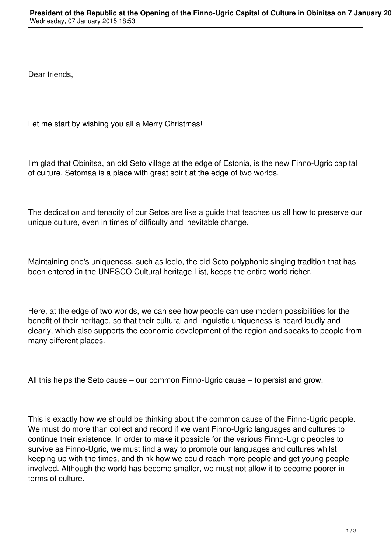Dear friends,

Let me start by wishing you all a Merry Christmas!

I'm glad that Obinitsa, an old Seto village at the edge of Estonia, is the new Finno-Ugric capital of culture. Setomaa is a place with great spirit at the edge of two worlds.

The dedication and tenacity of our Setos are like a guide that teaches us all how to preserve our unique culture, even in times of difficulty and inevitable change.

Maintaining one's uniqueness, such as leelo, the old Seto polyphonic singing tradition that has been entered in the UNESCO Cultural heritage List, keeps the entire world richer.

Here, at the edge of two worlds, we can see how people can use modern possibilities for the benefit of their heritage, so that their cultural and linguistic uniqueness is heard loudly and clearly, which also supports the economic development of the region and speaks to people from many different places.

All this helps the Seto cause – our common Finno-Ugric cause – to persist and grow.

This is exactly how we should be thinking about the common cause of the Finno-Ugric people. We must do more than collect and record if we want Finno-Ugric languages and cultures to continue their existence. In order to make it possible for the various Finno-Ugric peoples to survive as Finno-Ugric, we must find a way to promote our languages and cultures whilst keeping up with the times, and think how we could reach more people and get young people involved. Although the world has become smaller, we must not allow it to become poorer in terms of culture.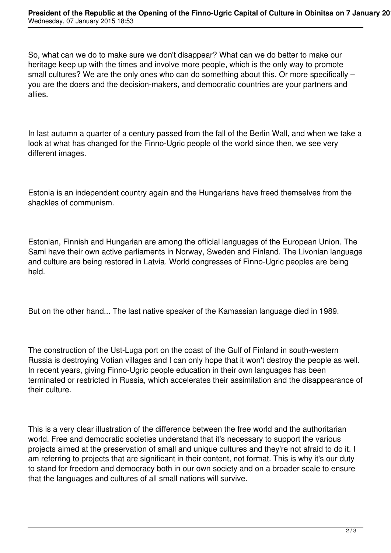So, what can we do to make sure we don't disappear? What can we do better to make our heritage keep up with the times and involve more people, which is the only way to promote small cultures? We are the only ones who can do something about this. Or more specifically – you are the doers and the decision-makers, and democratic countries are your partners and allies.

In last autumn a quarter of a century passed from the fall of the Berlin Wall, and when we take a look at what has changed for the Finno-Ugric people of the world since then, we see very different images.

Estonia is an independent country again and the Hungarians have freed themselves from the shackles of communism.

Estonian, Finnish and Hungarian are among the official languages of the European Union. The Sami have their own active parliaments in Norway, Sweden and Finland. The Livonian language and culture are being restored in Latvia. World congresses of Finno-Ugric peoples are being held.

But on the other hand... The last native speaker of the Kamassian language died in 1989.

The construction of the Ust-Luga port on the coast of the Gulf of Finland in south-western Russia is destroying Votian villages and I can only hope that it won't destroy the people as well. In recent years, giving Finno-Ugric people education in their own languages has been terminated or restricted in Russia, which accelerates their assimilation and the disappearance of their culture.

This is a very clear illustration of the difference between the free world and the authoritarian world. Free and democratic societies understand that it's necessary to support the various projects aimed at the preservation of small and unique cultures and they're not afraid to do it. I am referring to projects that are significant in their content, not format. This is why it's our duty to stand for freedom and democracy both in our own society and on a broader scale to ensure that the languages and cultures of all small nations will survive.